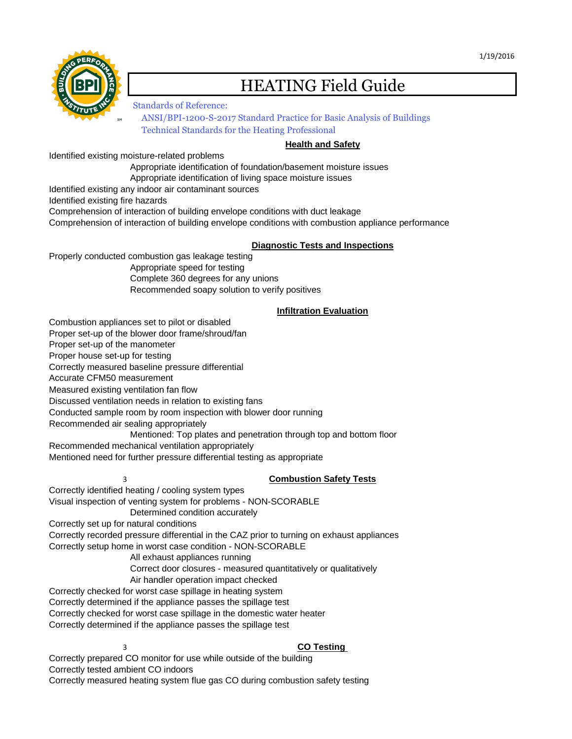

# HEATING Field Guide

Standards of Reference: [ANSI/BPI-1200-S-2017 Standard Practice for Basic Analysis of Buildings](http://bpi.org/sites/default/files/ANSI%20BPI-1200-S-2017%20Standard%20Practice%20for%20Basic%20Analysis%20of%20Buildings.pdf)  [Technical Standards for the Heating Professional](http://bpi.org/sites/default/files/Technical%20Standards%20for%20the%20Heating%20Professional.pdf) 

## **Health and Safety**

Identified existing moisture-related problems

Appropriate identification of foundation/basement moisture issues

Appropriate identification of living space moisture issues

Identified existing any indoor air contaminant sources

Identified existing fire hazards

Comprehension of interaction of building envelope conditions with duct leakage

Comprehension of interaction of building envelope conditions with combustion appliance performance

#### **Diagnostic Tests and Inspections**

Properly conducted combustion gas leakage testing Appropriate speed for testing

Complete 360 degrees for any unions

Recommended soapy solution to verify positives

# **Infiltration Evaluation**

Combustion appliances set to pilot or disabled Proper set-up of the blower door frame/shroud/fan Proper set-up of the manometer Proper house set-up for testing Correctly measured baseline pressure differential Accurate CFM50 measurement Measured existing ventilation fan flow Discussed ventilation needs in relation to existing fans Conducted sample room by room inspection with blower door running Recommended air sealing appropriately Mentioned: Top plates and penetration through top and bottom floor Recommended mechanical ventilation appropriately

Mentioned need for further pressure differential testing as appropriate

## 3 **Combustion Safety Tests**

Correctly identified heating / cooling system types Visual inspection of venting system for problems - NON-SCORABLE Determined condition accurately Correctly set up for natural conditions Correctly recorded pressure differential in the CAZ prior to turning on exhaust appliances Correctly setup home in worst case condition - NON-SCORABLE All exhaust appliances running Correct door closures - measured quantitatively or qualitatively Air handler operation impact checked Correctly checked for worst case spillage in heating system Correctly determined if the appliance passes the spillage test Correctly checked for worst case spillage in the domestic water heater Correctly determined if the appliance passes the spillage test

## 3 **CO Testing**

Correctly prepared CO monitor for use while outside of the building Correctly tested ambient CO indoors Correctly measured heating system flue gas CO during combustion safety testing